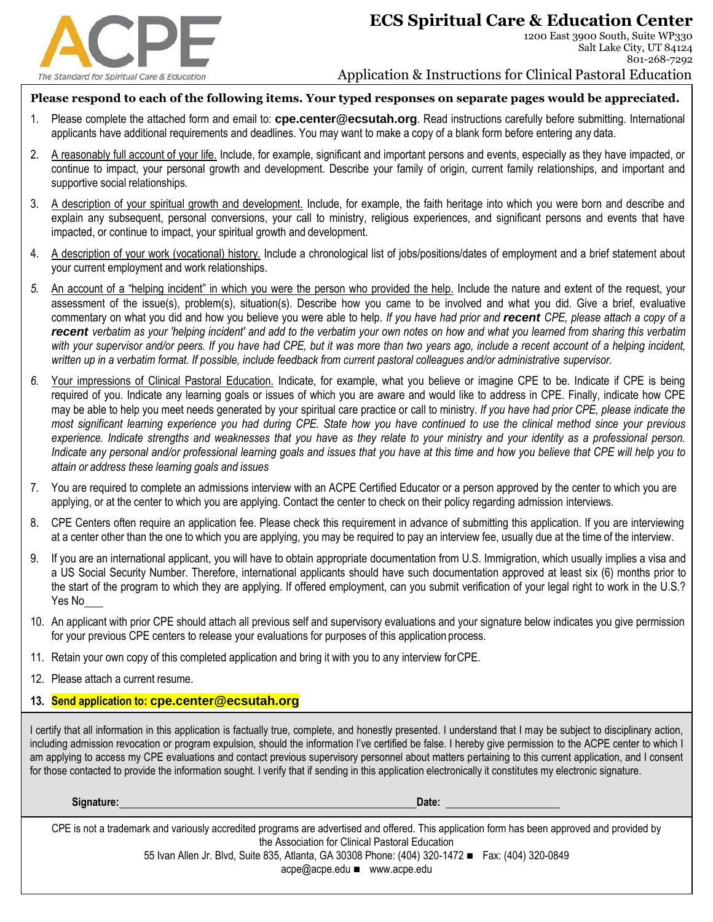

801-268-7292

## Application & Instructions for Clinical Pastoral Education

## **Please respond to each of the following items. Your typed responses on separate pages would be appreciated.**

- 1. Please complete the attached form and email to: **cpe.center@ecsutah.org**. Read instructions carefully before submitting. International applicants have additional requirements and deadlines. You may want to make a copy of a blank form before entering any data.
- 2. A reasonably full account of your life. Include, for example, significant and important persons and events, especially as they have impacted, or continue to impact, your personal growth and development. Describe your family of origin, current family relationships, and important and supportive social relationships.
- 3. A description of your spiritual growth and development. Include, for example, the faith heritage into which you were born and describe and explain any subsequent, personal conversions, your call to ministry, religious experiences, and significant persons and events that have impacted, or continue to impact, your spiritual growth and development.
- 4. A description of your work (vocational) history. Include a chronological list of jobs/positions/dates of employment and a brief statement about your current employment and work relationships.
- *5.* An account of a "helping incident" in which you were the person who provided the help. Include the nature and extent of the request, your assessment of the issue(s), problem(s), situation(s). Describe how you came to be involved and what you did. Give a brief, evaluative commentary on what you did and how you believe you were able to help. *If you have had prior and recent CPE, please attach a copy of a recent verbatim as your 'helping incident' and add to the verbatim your own notes on how and what you learned from sharing this verbatim with your supervisor and/or peers. If you have had CPE, but it was more than two years ago, include a recent account of a helping incident, written up in a verbatim format. If possible, include feedback from current pastoral colleagues and/or administrative supervisor.*
- *6.* Your impressions of Clinical Pastoral Education. Indicate, for example, what you believe or imagine CPE to be. Indicate if CPE is being required of you. Indicate any learning goals or issues of which you are aware and would like to address in CPE. Finally, indicate how CPE may be able to help you meet needs generated by your spiritual care practice or call to ministry. *If you have had prior CPE, please indicate the most significant learning experience you had during CPE. State how you have continued to use the clinical method since your previous experience. Indicate strengths and weaknesses that you have as they relate to your ministry and your identity as a professional person. Indicate any personal and/or professional learning goals and issues that you have at this time and how you believe that CPE will help you to attain or address these learning goals and issues*
- 7. You are required to complete an admissions interview with an ACPE Certified Educator or a person approved by the center to which you are applying, or at the center to which you are applying. Contact the center to check on their policy regarding admission interviews.
- 8. CPE Centers often require an application fee. Please check this requirement in advance of submitting this application. If you are interviewing at a center other than the one to which you are applying, you may be required to pay an interview fee, usually due at the time of the interview.
- 9. If you are an international applicant, you will have to obtain appropriate documentation from U.S. Immigration, which usually implies a visa and a US Social Security Number. Therefore, international applicants should have such documentation approved at least six (6) months prior to the start of the program to which they are applying. If offered employment, can you submit verification of your legal right to work in the U.S.? Yes No
- 10. An applicant with prior CPE should attach all previous self and supervisory evaluations and your signature below indicates you give permission for your previous CPE centers to release your evaluations for purposes of this application process.
- 11. Retain your own copy of this completed application and bring it with you to any interview forCPE.
- 12. Please attach a current resume.

## **13. Send application to: cpe.center@ecsutah.org**

I certify that all information in this application is factually true, complete, and honestly presented. I understand that I may be subject to disciplinary action, including admission revocation or program expulsion, should the information I've certified be false. I hereby give permission to the ACPE center to which I am applying to access my CPE evaluations and contact previous supervisory personnel about matters pertaining to this current application, and I consent for those contacted to provide the information sought. I verify that if sending in this application electronically it constitutes my electronic signature.

**Signature: Date:** 

CPE is not a trademark and variously accredited programs are advertised and offered. This application form has been approved and provided by the Association for Clinical Pastoral Education

55 Ivan Allen Jr. Blvd, Suite 835, Atlanta, GA 30308 Phone: (404) 320-1472 ◼ Fax: (404) 320-0849

[acpe@acpe.edu](mailto:acpe@acpe.edu) ◼ [www.acpe.edu](http://www.acpe.edu/)